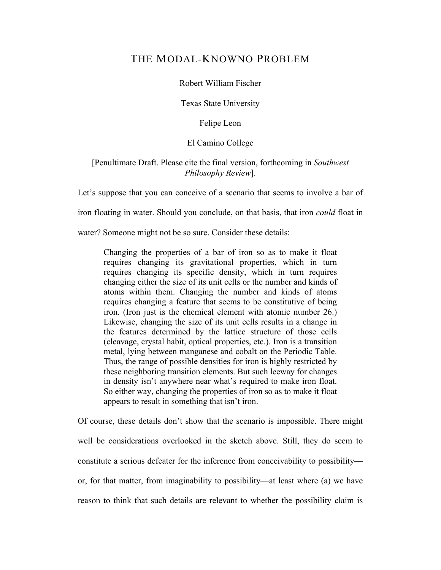# THE MODAL-KNOWNO PROBLEM

Robert William Fischer

Texas State University

Felipe Leon

## El Camino College

## [Penultimate Draft. Please cite the final version, forthcoming in *Southwest Philosophy Review*].

Let's suppose that you can conceive of a scenario that seems to involve a bar of

iron floating in water. Should you conclude, on that basis, that iron *could* float in

water? Someone might not be so sure. Consider these details:

Changing the properties of a bar of iron so as to make it float requires changing its gravitational properties, which in turn requires changing its specific density, which in turn requires changing either the size of its unit cells or the number and kinds of atoms within them. Changing the number and kinds of atoms requires changing a feature that seems to be constitutive of being iron. (Iron just is the chemical element with atomic number 26.) Likewise, changing the size of its unit cells results in a change in the features determined by the lattice structure of those cells (cleavage, crystal habit, optical properties, etc.). Iron is a transition metal, lying between manganese and cobalt on the Periodic Table. Thus, the range of possible densities for iron is highly restricted by these neighboring transition elements. But such leeway for changes in density isn't anywhere near what's required to make iron float. So either way, changing the properties of iron so as to make it float appears to result in something that isn't iron.

Of course, these details don't show that the scenario is impossible. There might well be considerations overlooked in the sketch above. Still, they do seem to constitute a serious defeater for the inference from conceivability to possibility or, for that matter, from imaginability to possibility—at least where (a) we have reason to think that such details are relevant to whether the possibility claim is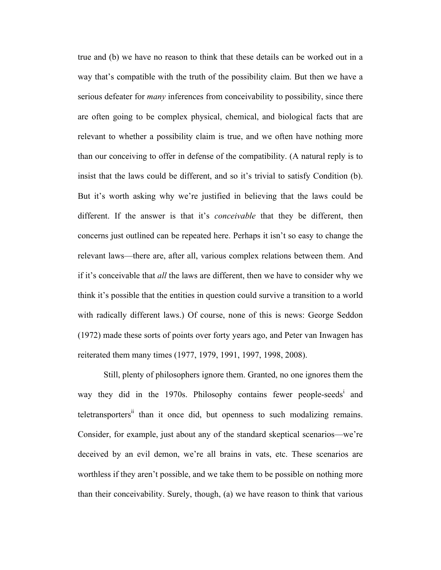true and (b) we have no reason to think that these details can be worked out in a way that's compatible with the truth of the possibility claim. But then we have a serious defeater for *many* inferences from conceivability to possibility, since there are often going to be complex physical, chemical, and biological facts that are relevant to whether a possibility claim is true, and we often have nothing more than our conceiving to offer in defense of the compatibility. (A natural reply is to insist that the laws could be different, and so it's trivial to satisfy Condition (b). But it's worth asking why we're justified in believing that the laws could be different. If the answer is that it's *conceivable* that they be different, then concerns just outlined can be repeated here. Perhaps it isn't so easy to change the relevant laws—there are, after all, various complex relations between them. And if it's conceivable that *all* the laws are different, then we have to consider why we think it's possible that the entities in question could survive a transition to a world with radically different laws.) Of course, none of this is news: George Seddon (1972) made these sorts of points over forty years ago, and Peter van Inwagen has reiterated them many times (1977, 1979, 1991, 1997, 1998, 2008).

Still, plenty of philosophers ignore them. Granted, no one ignores them the way they did in the 1970s. Philosophy contains fewer people-seeds<sup>i</sup> and teletransporters<sup>ii</sup> than it once did, but openness to such modalizing remains. Consider, for example, just about any of the standard skeptical scenarios—we're deceived by an evil demon, we're all brains in vats, etc. These scenarios are worthless if they aren't possible, and we take them to be possible on nothing more than their conceivability. Surely, though, (a) we have reason to think that various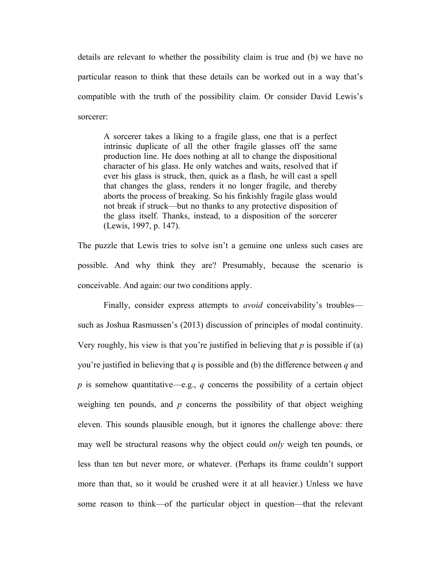details are relevant to whether the possibility claim is true and (b) we have no particular reason to think that these details can be worked out in a way that's compatible with the truth of the possibility claim. Or consider David Lewis's sorcerer:

A sorcerer takes a liking to a fragile glass, one that is a perfect intrinsic duplicate of all the other fragile glasses off the same production line. He does nothing at all to change the dispositional character of his glass. He only watches and waits, resolved that if ever his glass is struck, then, quick as a flash, he will cast a spell that changes the glass, renders it no longer fragile, and thereby aborts the process of breaking. So his finkishly fragile glass would not break if struck—but no thanks to any protective disposition of the glass itself. Thanks, instead, to a disposition of the sorcerer (Lewis, 1997, p. 147).

The puzzle that Lewis tries to solve isn't a genuine one unless such cases are possible. And why think they are? Presumably, because the scenario is conceivable. And again: our two conditions apply.

Finally, consider express attempts to *avoid* conceivability's troubles such as Joshua Rasmussen's (2013) discussion of principles of modal continuity. Very roughly, his view is that you're justified in believing that *p* is possible if (a) you're justified in believing that *q* is possible and (b) the difference between *q* and *p* is somehow quantitative—e.g., *q* concerns the possibility of a certain object weighing ten pounds, and *p* concerns the possibility of that object weighing eleven. This sounds plausible enough, but it ignores the challenge above: there may well be structural reasons why the object could *only* weigh ten pounds, or less than ten but never more, or whatever. (Perhaps its frame couldn't support more than that, so it would be crushed were it at all heavier.) Unless we have some reason to think—of the particular object in question—that the relevant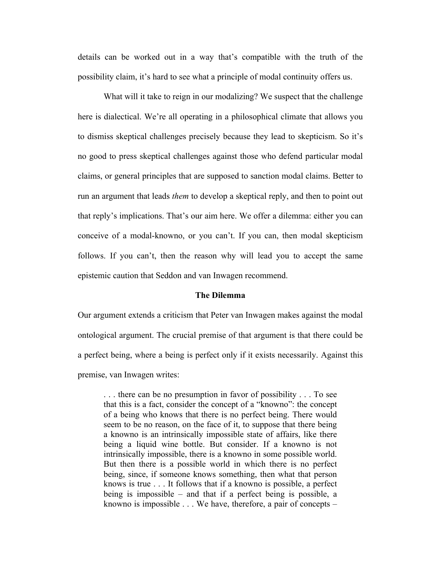details can be worked out in a way that's compatible with the truth of the possibility claim, it's hard to see what a principle of modal continuity offers us.

What will it take to reign in our modalizing? We suspect that the challenge here is dialectical. We're all operating in a philosophical climate that allows you to dismiss skeptical challenges precisely because they lead to skepticism. So it's no good to press skeptical challenges against those who defend particular modal claims, or general principles that are supposed to sanction modal claims. Better to run an argument that leads *them* to develop a skeptical reply, and then to point out that reply's implications. That's our aim here. We offer a dilemma: either you can conceive of a modal-knowno, or you can't. If you can, then modal skepticism follows. If you can't, then the reason why will lead you to accept the same epistemic caution that Seddon and van Inwagen recommend.

#### **The Dilemma**

Our argument extends a criticism that Peter van Inwagen makes against the modal ontological argument. The crucial premise of that argument is that there could be a perfect being, where a being is perfect only if it exists necessarily. Against this premise, van Inwagen writes:

. . . there can be no presumption in favor of possibility . . . To see that this is a fact, consider the concept of a "knowno": the concept of a being who knows that there is no perfect being. There would seem to be no reason, on the face of it, to suppose that there being a knowno is an intrinsically impossible state of affairs, like there being a liquid wine bottle. But consider. If a knowno is not intrinsically impossible, there is a knowno in some possible world. But then there is a possible world in which there is no perfect being, since, if someone knows something, then what that person knows is true . . . It follows that if a knowno is possible, a perfect being is impossible – and that if a perfect being is possible, a knowno is impossible . . . We have, therefore, a pair of concepts –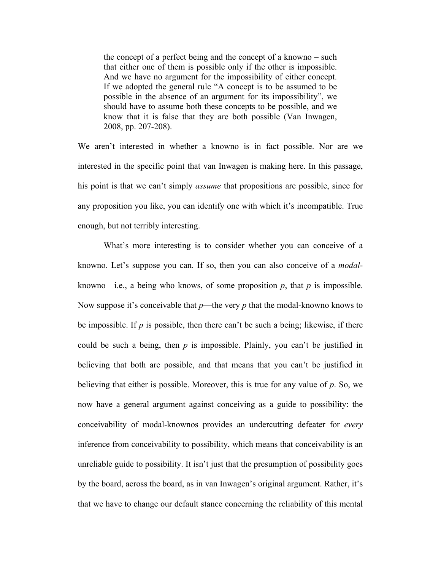the concept of a perfect being and the concept of a knowno – such that either one of them is possible only if the other is impossible. And we have no argument for the impossibility of either concept. If we adopted the general rule "A concept is to be assumed to be possible in the absence of an argument for its impossibility", we should have to assume both these concepts to be possible, and we know that it is false that they are both possible (Van Inwagen, 2008, pp. 207-208).

We aren't interested in whether a knowno is in fact possible. Nor are we interested in the specific point that van Inwagen is making here. In this passage, his point is that we can't simply *assume* that propositions are possible, since for any proposition you like, you can identify one with which it's incompatible. True enough, but not terribly interesting.

What's more interesting is to consider whether you can conceive of a knowno. Let's suppose you can. If so, then you can also conceive of a *modal*knowno—i.e., a being who knows, of some proposition  $p$ , that  $p$  is impossible. Now suppose it's conceivable that *p*—the very *p* that the modal-knowno knows to be impossible. If *p* is possible, then there can't be such a being; likewise, if there could be such a being, then *p* is impossible. Plainly, you can't be justified in believing that both are possible, and that means that you can't be justified in believing that either is possible. Moreover, this is true for any value of *p*. So, we now have a general argument against conceiving as a guide to possibility: the conceivability of modal-knownos provides an undercutting defeater for *every*  inference from conceivability to possibility, which means that conceivability is an unreliable guide to possibility. It isn't just that the presumption of possibility goes by the board, across the board, as in van Inwagen's original argument. Rather, it's that we have to change our default stance concerning the reliability of this mental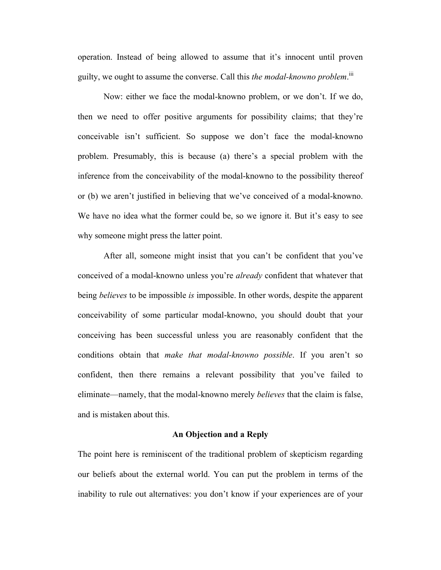operation. Instead of being allowed to assume that it's innocent until proven guilty, we ought to assume the converse. Call this *the modal-knowno problem*.<sup>ii</sup>

Now: either we face the modal-knowno problem, or we don't. If we do, then we need to offer positive arguments for possibility claims; that they're conceivable isn't sufficient. So suppose we don't face the modal-knowno problem. Presumably, this is because (a) there's a special problem with the inference from the conceivability of the modal-knowno to the possibility thereof or (b) we aren't justified in believing that we've conceived of a modal-knowno. We have no idea what the former could be, so we ignore it. But it's easy to see why someone might press the latter point.

After all, someone might insist that you can't be confident that you've conceived of a modal-knowno unless you're *already* confident that whatever that being *believes* to be impossible *is* impossible. In other words, despite the apparent conceivability of some particular modal-knowno, you should doubt that your conceiving has been successful unless you are reasonably confident that the conditions obtain that *make that modal-knowno possible*. If you aren't so confident, then there remains a relevant possibility that you've failed to eliminate—namely, that the modal-knowno merely *believes* that the claim is false, and is mistaken about this.

#### **An Objection and a Reply**

The point here is reminiscent of the traditional problem of skepticism regarding our beliefs about the external world. You can put the problem in terms of the inability to rule out alternatives: you don't know if your experiences are of your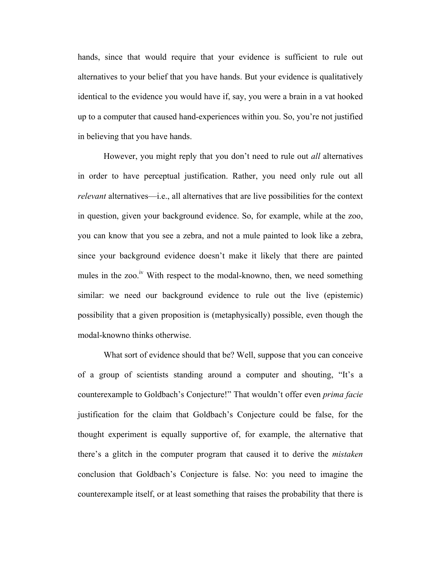hands, since that would require that your evidence is sufficient to rule out alternatives to your belief that you have hands. But your evidence is qualitatively identical to the evidence you would have if, say, you were a brain in a vat hooked up to a computer that caused hand-experiences within you. So, you're not justified in believing that you have hands.

However, you might reply that you don't need to rule out *all* alternatives in order to have perceptual justification. Rather, you need only rule out all *relevant* alternatives—i.e., all alternatives that are live possibilities for the context in question, given your background evidence. So, for example, while at the zoo, you can know that you see a zebra, and not a mule painted to look like a zebra, since your background evidence doesn't make it likely that there are painted mules in the zoo.<sup>iv</sup> With respect to the modal-knowno, then, we need something similar: we need our background evidence to rule out the live (epistemic) possibility that a given proposition is (metaphysically) possible, even though the modal-knowno thinks otherwise.

What sort of evidence should that be? Well, suppose that you can conceive of a group of scientists standing around a computer and shouting, "It's a counterexample to Goldbach's Conjecture!" That wouldn't offer even *prima facie* justification for the claim that Goldbach's Conjecture could be false, for the thought experiment is equally supportive of, for example, the alternative that there's a glitch in the computer program that caused it to derive the *mistaken* conclusion that Goldbach's Conjecture is false. No: you need to imagine the counterexample itself, or at least something that raises the probability that there is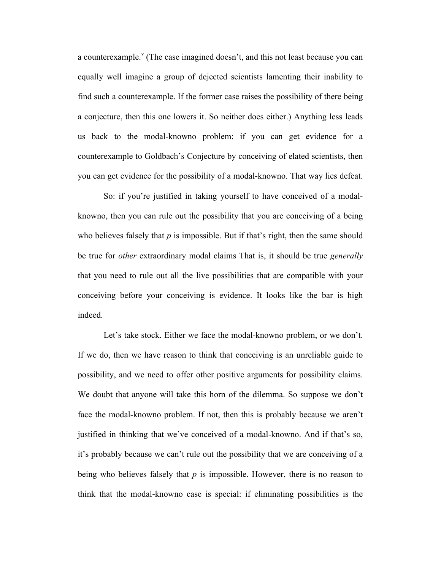a counterexample.<sup> $\theta$ </sup> (The case imagined doesn't, and this not least because you can equally well imagine a group of dejected scientists lamenting their inability to find such a counterexample. If the former case raises the possibility of there being a conjecture, then this one lowers it. So neither does either.) Anything less leads us back to the modal-knowno problem: if you can get evidence for a counterexample to Goldbach's Conjecture by conceiving of elated scientists, then you can get evidence for the possibility of a modal-knowno. That way lies defeat.

So: if you're justified in taking yourself to have conceived of a modalknowno, then you can rule out the possibility that you are conceiving of a being who believes falsely that  $p$  is impossible. But if that's right, then the same should be true for *other* extraordinary modal claims That is, it should be true *generally*  that you need to rule out all the live possibilities that are compatible with your conceiving before your conceiving is evidence. It looks like the bar is high indeed.

Let's take stock. Either we face the modal-knowno problem, or we don't. If we do, then we have reason to think that conceiving is an unreliable guide to possibility, and we need to offer other positive arguments for possibility claims. We doubt that anyone will take this horn of the dilemma. So suppose we don't face the modal-knowno problem. If not, then this is probably because we aren't justified in thinking that we've conceived of a modal-knowno. And if that's so, it's probably because we can't rule out the possibility that we are conceiving of a being who believes falsely that *p* is impossible. However, there is no reason to think that the modal-knowno case is special: if eliminating possibilities is the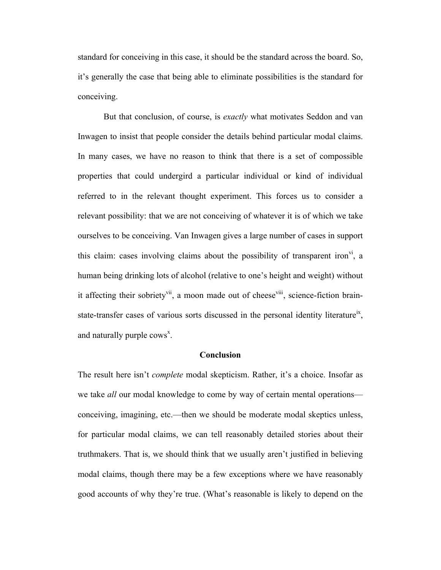standard for conceiving in this case, it should be the standard across the board. So, it's generally the case that being able to eliminate possibilities is the standard for conceiving.

But that conclusion, of course, is *exactly* what motivates Seddon and van Inwagen to insist that people consider the details behind particular modal claims. In many cases, we have no reason to think that there is a set of compossible properties that could undergird a particular individual or kind of individual referred to in the relevant thought experiment. This forces us to consider a relevant possibility: that we are not conceiving of whatever it is of which we take ourselves to be conceiving. Van Inwagen gives a large number of cases in support this claim: cases involving claims about the possibility of transparent iron<sup>vi</sup>, a human being drinking lots of alcohol (relative to one's height and weight) without it affecting their sobriety<sup>vii</sup>, a moon made out of cheese<sup>viii</sup>, science-fiction brainstate-transfer cases of various sorts discussed in the personal identity literature<sup>ix</sup>, and naturally purple  ${\rm cows}^x$ .

### **Conclusion**

The result here isn't *complete* modal skepticism. Rather, it's a choice. Insofar as we take *all* our modal knowledge to come by way of certain mental operations conceiving, imagining, etc.—then we should be moderate modal skeptics unless, for particular modal claims, we can tell reasonably detailed stories about their truthmakers. That is, we should think that we usually aren't justified in believing modal claims, though there may be a few exceptions where we have reasonably good accounts of why they're true. (What's reasonable is likely to depend on the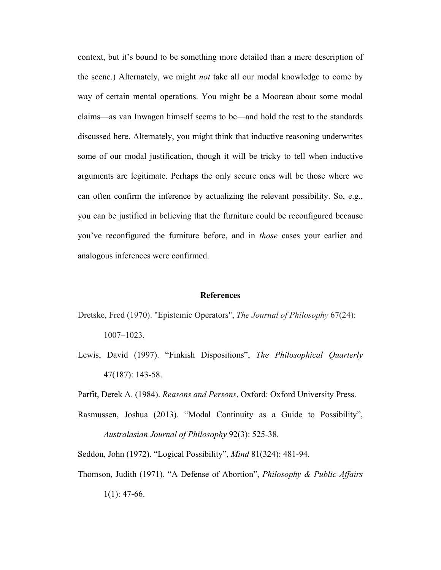context, but it's bound to be something more detailed than a mere description of the scene.) Alternately, we might *not* take all our modal knowledge to come by way of certain mental operations. You might be a Moorean about some modal claims—as van Inwagen himself seems to be—and hold the rest to the standards discussed here. Alternately, you might think that inductive reasoning underwrites some of our modal justification, though it will be tricky to tell when inductive arguments are legitimate. Perhaps the only secure ones will be those where we can often confirm the inference by actualizing the relevant possibility. So, e.g., you can be justified in believing that the furniture could be reconfigured because you've reconfigured the furniture before, and in *those* cases your earlier and analogous inferences were confirmed.

#### **References**

- Dretske, Fred (1970). "Epistemic Operators", *The Journal of Philosophy* 67(24): 1007–1023.
- Lewis, David (1997). "Finkish Dispositions", *The Philosophical Quarterly* 47(187): 143-58.

Parfit, Derek A. (1984). *Reasons and Persons*, Oxford: Oxford University Press.

Rasmussen, Joshua (2013). "Modal Continuity as a Guide to Possibility", *Australasian Journal of Philosophy* 92(3): 525-38.

Seddon, John (1972). "Logical Possibility", *Mind* 81(324): 481-94.

Thomson, Judith (1971). "A Defense of Abortion", *Philosophy & Public Affairs*  $1(1)$ : 47-66.